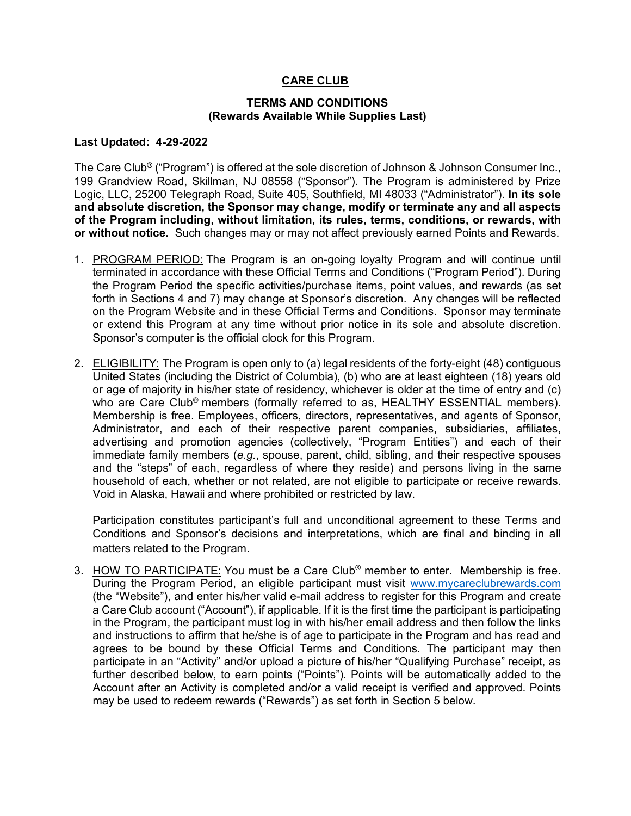### **CARE CLUB**

#### **TERMS AND CONDITIONS (Rewards Available While Supplies Last)**

#### **Last Updated: 4-29-2022**

The Care Club**®** ("Program") is offered at the sole discretion of Johnson & Johnson Consumer Inc., 199 Grandview Road, Skillman, NJ 08558 ("Sponsor"). The Program is administered by Prize Logic, LLC, 25200 Telegraph Road, Suite 405, Southfield, MI 48033 ("Administrator"). **In its sole and absolute discretion, the Sponsor may change, modify or terminate any and all aspects of the Program including, without limitation, its rules, terms, conditions, or rewards, with or without notice.** Such changes may or may not affect previously earned Points and Rewards.

- 1. PROGRAM PERIOD: The Program is an on-going loyalty Program and will continue until terminated in accordance with these Official Terms and Conditions ("Program Period"). During the Program Period the specific activities/purchase items, point values, and rewards (as set forth in Sections 4 and 7) may change at Sponsor's discretion. Any changes will be reflected on the Program Website and in these Official Terms and Conditions. Sponsor may terminate or extend this Program at any time without prior notice in its sole and absolute discretion. Sponsor's computer is the official clock for this Program.
- 2. ELIGIBILITY: The Program is open only to (a) legal residents of the forty-eight (48) contiguous United States (including the District of Columbia), (b) who are at least eighteen (18) years old or age of majority in his/her state of residency, whichever is older at the time of entry and (c) who are Care Club<sup>®</sup> members (formally referred to as, HEALTHY ESSENTIAL members). Membership is free. Employees, officers, directors, representatives, and agents of Sponsor, Administrator, and each of their respective parent companies, subsidiaries, affiliates, advertising and promotion agencies (collectively, "Program Entities") and each of their immediate family members (*e.g.*, spouse, parent, child, sibling, and their respective spouses and the "steps" of each, regardless of where they reside) and persons living in the same household of each, whether or not related, are not eligible to participate or receive rewards. Void in Alaska, Hawaii and where prohibited or restricted by law.

Participation constitutes participant's full and unconditional agreement to these Terms and Conditions and Sponsor's decisions and interpretations, which are final and binding in all matters related to the Program.

3. HOW TO PARTICIPATE: You must be a Care Club® member to enter. Membership is free. During the Program Period, an eligible participant must visit www.mycareclubrewards.com (the "Website"), and enter his/her valid e-mail address to register for this Program and create a Care Club account ("Account"), if applicable. If it is the first time the participant is participating in the Program, the participant must log in with his/her email address and then follow the links and instructions to affirm that he/she is of age to participate in the Program and has read and agrees to be bound by these Official Terms and Conditions. The participant may then participate in an "Activity" and/or upload a picture of his/her "Qualifying Purchase" receipt, as further described below, to earn points ("Points"). Points will be automatically added to the Account after an Activity is completed and/or a valid receipt is verified and approved. Points may be used to redeem rewards ("Rewards") as set forth in Section 5 below.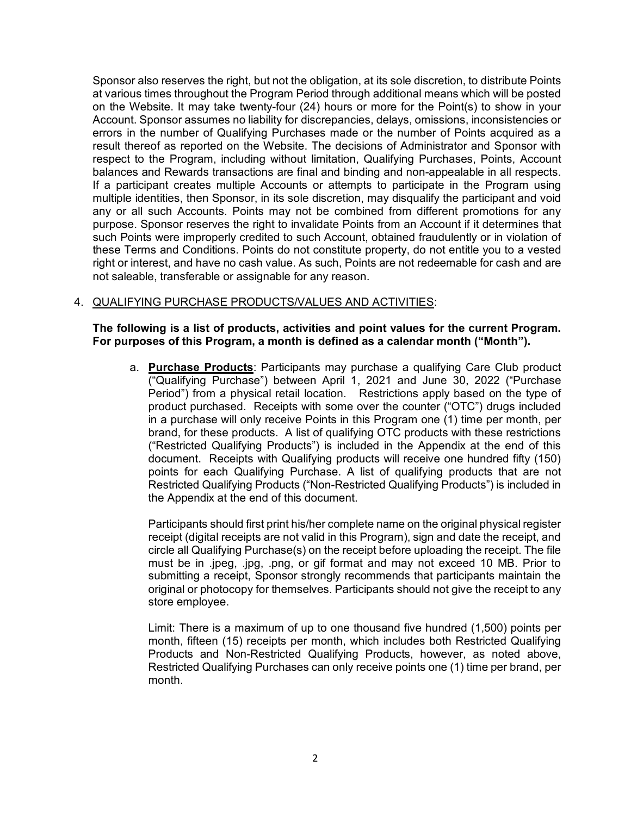Sponsor also reserves the right, but not the obligation, at its sole discretion, to distribute Points at various times throughout the Program Period through additional means which will be posted on the Website. It may take twenty-four (24) hours or more for the Point(s) to show in your Account. Sponsor assumes no liability for discrepancies, delays, omissions, inconsistencies or errors in the number of Qualifying Purchases made or the number of Points acquired as a result thereof as reported on the Website. The decisions of Administrator and Sponsor with respect to the Program, including without limitation, Qualifying Purchases, Points, Account balances and Rewards transactions are final and binding and non-appealable in all respects. If a participant creates multiple Accounts or attempts to participate in the Program using multiple identities, then Sponsor, in its sole discretion, may disqualify the participant and void any or all such Accounts. Points may not be combined from different promotions for any purpose. Sponsor reserves the right to invalidate Points from an Account if it determines that such Points were improperly credited to such Account, obtained fraudulently or in violation of these Terms and Conditions. Points do not constitute property, do not entitle you to a vested right or interest, and have no cash value. As such, Points are not redeemable for cash and are not saleable, transferable or assignable for any reason.

### 4. QUALIFYING PURCHASE PRODUCTS/VALUES AND ACTIVITIES:

**The following is a list of products, activities and point values for the current Program. For purposes of this Program, a month is defined as a calendar month ("Month").** 

a. **Purchase Products**: Participants may purchase a qualifying Care Club product ("Qualifying Purchase") between April 1, 2021 and June 30, 2022 ("Purchase Period") from a physical retail location. Restrictions apply based on the type of product purchased. Receipts with some over the counter ("OTC") drugs included in a purchase will only receive Points in this Program one (1) time per month, per brand, for these products. A list of qualifying OTC products with these restrictions ("Restricted Qualifying Products") is included in the Appendix at the end of this document. Receipts with Qualifying products will receive one hundred fifty (150) points for each Qualifying Purchase. A list of qualifying products that are not Restricted Qualifying Products ("Non-Restricted Qualifying Products") is included in the Appendix at the end of this document.

Participants should first print his/her complete name on the original physical register receipt (digital receipts are not valid in this Program), sign and date the receipt, and circle all Qualifying Purchase(s) on the receipt before uploading the receipt. The file must be in .jpeg, .jpg, .png, or gif format and may not exceed 10 MB. Prior to submitting a receipt, Sponsor strongly recommends that participants maintain the original or photocopy for themselves. Participants should not give the receipt to any store employee.

Limit: There is a maximum of up to one thousand five hundred (1,500) points per month, fifteen (15) receipts per month, which includes both Restricted Qualifying Products and Non-Restricted Qualifying Products, however, as noted above, Restricted Qualifying Purchases can only receive points one (1) time per brand, per month.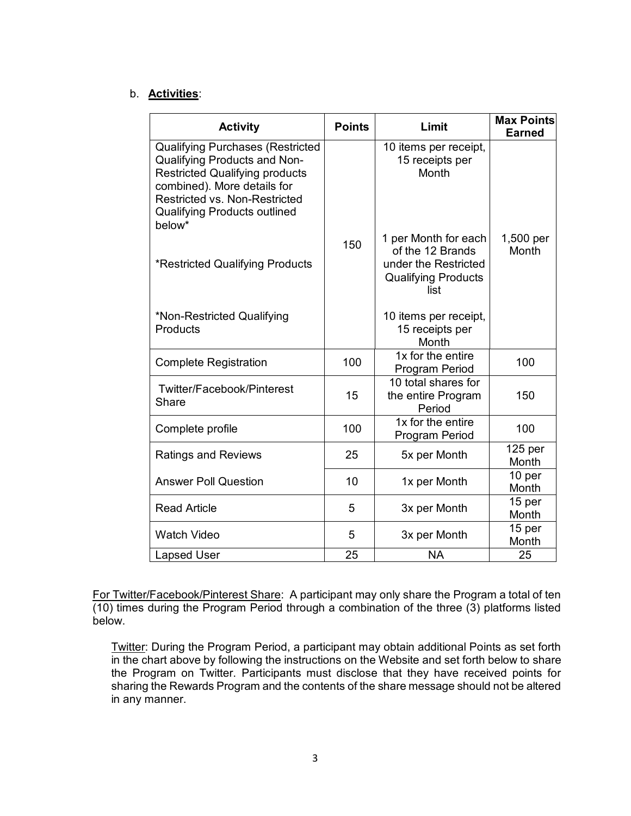## b. **Activities**:

| <b>Activity</b>                                                                                                                                                                                                                                 | <b>Points</b> | Limit                                                                                                  | <b>Max Points</b><br><b>Earned</b> |
|-------------------------------------------------------------------------------------------------------------------------------------------------------------------------------------------------------------------------------------------------|---------------|--------------------------------------------------------------------------------------------------------|------------------------------------|
| <b>Qualifying Purchases (Restricted</b><br><b>Qualifying Products and Non-</b><br><b>Restricted Qualifying products</b><br>combined). More details for<br><b>Restricted vs. Non-Restricted</b><br><b>Qualifying Products outlined</b><br>below* |               | 10 items per receipt,<br>15 receipts per<br>Month                                                      |                                    |
| *Restricted Qualifying Products                                                                                                                                                                                                                 | 150           | 1 per Month for each<br>of the 12 Brands<br>under the Restricted<br><b>Qualifying Products</b><br>list | 1,500 per<br>Month                 |
| *Non-Restricted Qualifying<br>Products                                                                                                                                                                                                          |               | 10 items per receipt,<br>15 receipts per<br>Month                                                      |                                    |
| <b>Complete Registration</b>                                                                                                                                                                                                                    | 100           | 1x for the entire<br>Program Period                                                                    | 100                                |
| Twitter/Facebook/Pinterest<br>Share                                                                                                                                                                                                             | 15            | 10 total shares for<br>the entire Program<br>Period                                                    | 150                                |
| Complete profile                                                                                                                                                                                                                                | 100           | 1x for the entire<br>Program Period                                                                    | 100                                |
| <b>Ratings and Reviews</b>                                                                                                                                                                                                                      | 25            | 5x per Month                                                                                           | 125 <sub>per</sub><br>Month        |
| <b>Answer Poll Question</b>                                                                                                                                                                                                                     | 10            | 1x per Month                                                                                           | 10 per<br>Month                    |
| <b>Read Article</b>                                                                                                                                                                                                                             | 5             | 3x per Month                                                                                           | 15 per<br>Month                    |
| <b>Watch Video</b>                                                                                                                                                                                                                              | 5             | 3x per Month                                                                                           | 15 per<br>Month                    |
| <b>Lapsed User</b>                                                                                                                                                                                                                              | 25            | <b>NA</b>                                                                                              | 25                                 |

For Twitter/Facebook/Pinterest Share: A participant may only share the Program a total of ten (10) times during the Program Period through a combination of the three (3) platforms listed below.

Twitter: During the Program Period, a participant may obtain additional Points as set forth in the chart above by following the instructions on the Website and set forth below to share the Program on Twitter. Participants must disclose that they have received points for sharing the Rewards Program and the contents of the share message should not be altered in any manner.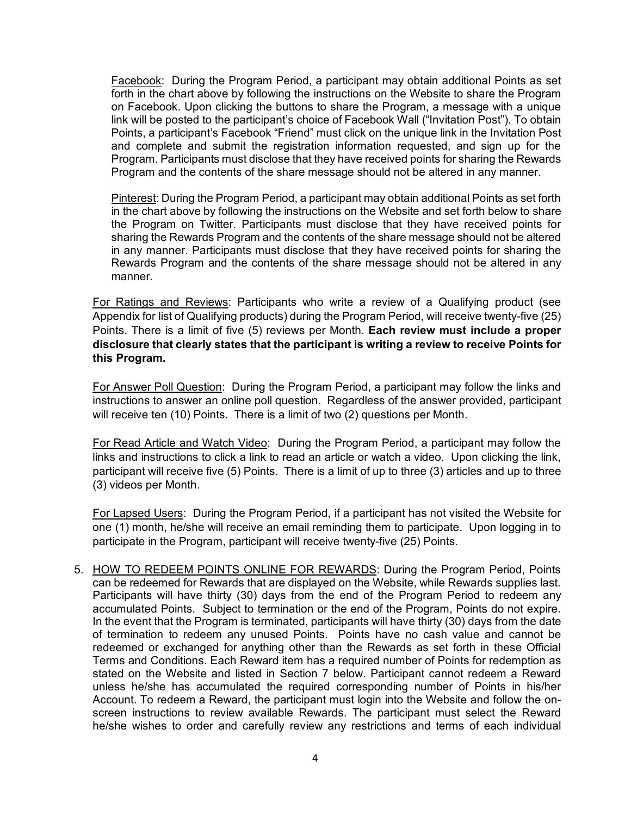Facebook: During the Program Period, a participant may obtain additional Points as set forth in the chart above by following the instructions on the Website to share the Program on Facebook. Upon clicking the buttons to share the Program, a message with a unique link will be posted to the participant's choice of Facebook Wall ("Invitation Post"). To obtain Points, a participant's Facebook "Friend" must click on the unique link in the Invitation Post and complete and submit the registration information requested, and sign up for the Program. Participants must disclose that they have received points for sharing the Rewards Program and the contents of the share message should not be altered in any manner.

Pinterest: During the Program Period, a participant may obtain additional Points as set forth in the chart above by following the instructions on the Website and set forth below to share the Program on Twitter. Participants must disclose that they have received points for sharing the Rewards Program and the contents of the share message should not be altered in any manner. Participants must disclose that they have received points for sharing the Rewards Program and the contents of the share message should not be altered in any manner.

For Ratings and Reviews: Participants who write a review of a Qualifying product (see Appendix for list of Qualifying products) during the Program Period, will receive twenty-five (25) Points. There is a limit of five (5) reviews per Month. **Each review must include a proper disclosure that clearly states that the participant is writing a review to receive Points for this Program.**

For Answer Poll Question: During the Program Period, a participant may follow the links and instructions to answer an online poll question. Regardless of the answer provided, participant will receive ten (10) Points. There is a limit of two (2) questions per Month.

For Read Article and Watch Video: During the Program Period, a participant may follow the links and instructions to click a link to read an article or watch a video. Upon clicking the link, participant will receive five (5) Points. There is a limit of up to three (3) articles and up to three (3) videos per Month.

For Lapsed Users: During the Program Period, if a participant has not visited the Website for one (1) month, he/she will receive an email reminding them to participate. Upon logging in to participate in the Program, participant will receive twenty-five (25) Points.

5. HOW TO REDEEM POINTS ONLINE FOR REWARDS: During the Program Period, Points can be redeemed for Rewards that are displayed on the Website, while Rewards supplies last. Participants will have thirty (30) days from the end of the Program Period to redeem any accumulated Points. Subject to termination or the end of the Program, Points do not expire. In the event that the Program is terminated, participants will have thirty (30) days from the date of termination to redeem any unused Points. Points have no cash value and cannot be redeemed or exchanged for anything other than the Rewards as set forth in these Official Terms and Conditions. Each Reward item has a required number of Points for redemption as stated on the Website and listed in Section 7 below. Participant cannot redeem a Reward unless he/she has accumulated the required corresponding number of Points in his/her Account. To redeem a Reward, the participant must login into the Website and follow the onscreen instructions to review available Rewards. The participant must select the Reward he/she wishes to order and carefully review any restrictions and terms of each individual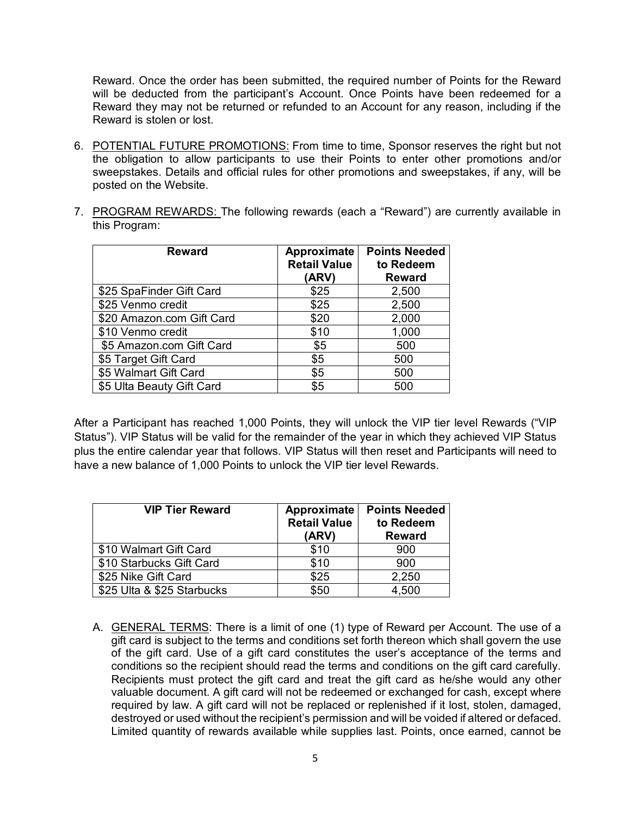Reward. Once the order has been submitted, the required number of Points for the Reward will be deducted from the participant's Account. Once Points have been redeemed for a Reward they may not be returned or refunded to an Account for any reason, including if the Reward is stolen or lost.

- 6. POTENTIAL FUTURE PROMOTIONS: From time to time, Sponsor reserves the right but not the obligation to allow participants to use their Points to enter other promotions and/or sweepstakes. Details and official rules for other promotions and sweepstakes, if any, will be posted on the Website.
- 7. PROGRAM REWARDS: The following rewards (each a "Reward") are currently available in this Program:

| <b>Reward</b>             | Approximate<br><b>Retail Value</b><br>(ARV) | <b>Points Needed</b><br>to Redeem<br><b>Reward</b> |
|---------------------------|---------------------------------------------|----------------------------------------------------|
| \$25 SpaFinder Gift Card  | \$25                                        | 2,500                                              |
| \$25 Venmo credit         | \$25                                        | 2,500                                              |
| \$20 Amazon.com Gift Card | \$20                                        | 2,000                                              |
| \$10 Venmo credit         | \$10                                        | 1,000                                              |
| \$5 Amazon.com Gift Card  | \$5                                         | 500                                                |
| \$5 Target Gift Card      | \$5                                         | 500                                                |
| \$5 Walmart Gift Card     | \$5                                         | 500                                                |
| \$5 Ulta Beauty Gift Card | \$5                                         | 500                                                |

After a Participant has reached 1,000 Points, they will unlock the VIP tier level Rewards ("VIP Status"). VIP Status will be valid for the remainder of the year in which they achieved VIP Status plus the entire calendar year that follows. VIP Status will then reset and Participants will need to have a new balance of 1,000 Points to unlock the VIP tier level Rewards.

| <b>VIP Tier Reward</b>     | Approximate<br><b>Retail Value</b><br>(ARV) | <b>Points Needed</b><br>to Redeem<br><b>Reward</b> |
|----------------------------|---------------------------------------------|----------------------------------------------------|
| \$10 Walmart Gift Card     | \$10                                        | 900                                                |
| \$10 Starbucks Gift Card   | \$10                                        | 900                                                |
| \$25 Nike Gift Card        | \$25                                        | 2,250                                              |
| \$25 Ulta & \$25 Starbucks | \$50                                        | 4,500                                              |

A. GENERAL TERMS: There is a limit of one (1) type of Reward per Account. The use of a gift card is subject to the terms and conditions set forth thereon which shall govern the use of the gift card. Use of a gift card constitutes the user's acceptance of the terms and conditions so the recipient should read the terms and conditions on the gift card carefully. Recipients must protect the gift card and treat the gift card as he/she would any other valuable document. A gift card will not be redeemed or exchanged for cash, except where required by law. A gift card will not be replaced or replenished if it lost, stolen, damaged, destroyed or used without the recipient's permission and will be voided if altered or defaced. Limited quantity of rewards available while supplies last. Points, once earned, cannot be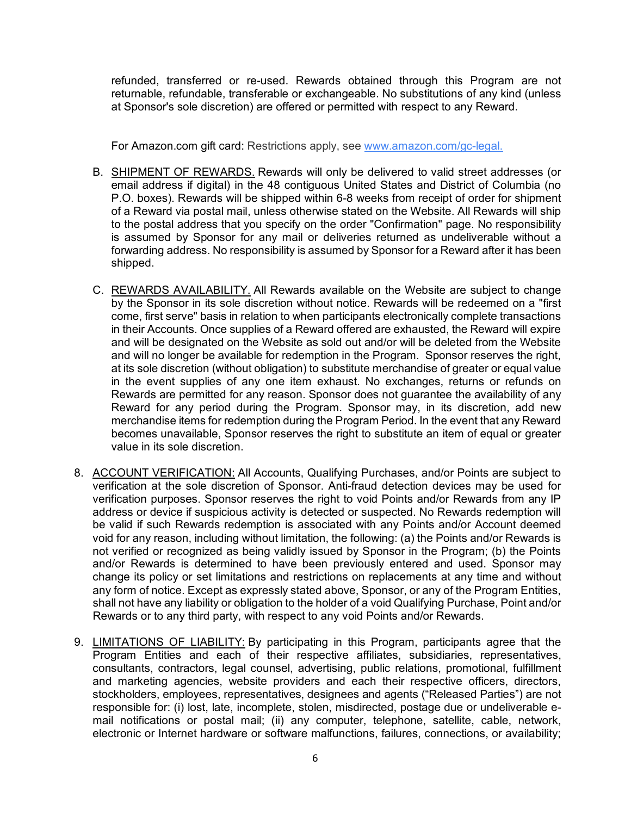refunded, transferred or re-used. Rewards obtained through this Program are not returnable, refundable, transferable or exchangeable. No substitutions of any kind (unless at Sponsor's sole discretion) are offered or permitted with respect to any Reward.

For Amazon.com gift card: Restrictions apply, see [www.amazon.com/gc-legal.](http://www.amazon.com/gc-legal)

- B. SHIPMENT OF REWARDS. Rewards will only be delivered to valid street addresses (or email address if digital) in the 48 contiguous United States and District of Columbia (no P.O. boxes). Rewards will be shipped within 6-8 weeks from receipt of order for shipment of a Reward via postal mail, unless otherwise stated on the Website. All Rewards will ship to the postal address that you specify on the order "Confirmation" page. No responsibility is assumed by Sponsor for any mail or deliveries returned as undeliverable without a forwarding address. No responsibility is assumed by Sponsor for a Reward after it has been shipped.
- C. REWARDS AVAILABILITY. All Rewards available on the Website are subject to change by the Sponsor in its sole discretion without notice. Rewards will be redeemed on a "first come, first serve" basis in relation to when participants electronically complete transactions in their Accounts. Once supplies of a Reward offered are exhausted, the Reward will expire and will be designated on the Website as sold out and/or will be deleted from the Website and will no longer be available for redemption in the Program. Sponsor reserves the right, at its sole discretion (without obligation) to substitute merchandise of greater or equal value in the event supplies of any one item exhaust. No exchanges, returns or refunds on Rewards are permitted for any reason. Sponsor does not guarantee the availability of any Reward for any period during the Program. Sponsor may, in its discretion, add new merchandise items for redemption during the Program Period. In the event that any Reward becomes unavailable, Sponsor reserves the right to substitute an item of equal or greater value in its sole discretion.
- 8. ACCOUNT VERIFICATION: All Accounts, Qualifying Purchases, and/or Points are subject to verification at the sole discretion of Sponsor. Anti-fraud detection devices may be used for verification purposes. Sponsor reserves the right to void Points and/or Rewards from any IP address or device if suspicious activity is detected or suspected. No Rewards redemption will be valid if such Rewards redemption is associated with any Points and/or Account deemed void for any reason, including without limitation, the following: (a) the Points and/or Rewards is not verified or recognized as being validly issued by Sponsor in the Program; (b) the Points and/or Rewards is determined to have been previously entered and used. Sponsor may change its policy or set limitations and restrictions on replacements at any time and without any form of notice. Except as expressly stated above, Sponsor, or any of the Program Entities, shall not have any liability or obligation to the holder of a void Qualifying Purchase, Point and/or Rewards or to any third party, with respect to any void Points and/or Rewards.
- 9. LIMITATIONS OF LIABILITY: By participating in this Program, participants agree that the Program Entities and each of their respective affiliates, subsidiaries, representatives, consultants, contractors, legal counsel, advertising, public relations, promotional, fulfillment and marketing agencies, website providers and each their respective officers, directors, stockholders, employees, representatives, designees and agents ("Released Parties") are not responsible for: (i) lost, late, incomplete, stolen, misdirected, postage due or undeliverable email notifications or postal mail; (ii) any computer, telephone, satellite, cable, network, electronic or Internet hardware or software malfunctions, failures, connections, or availability;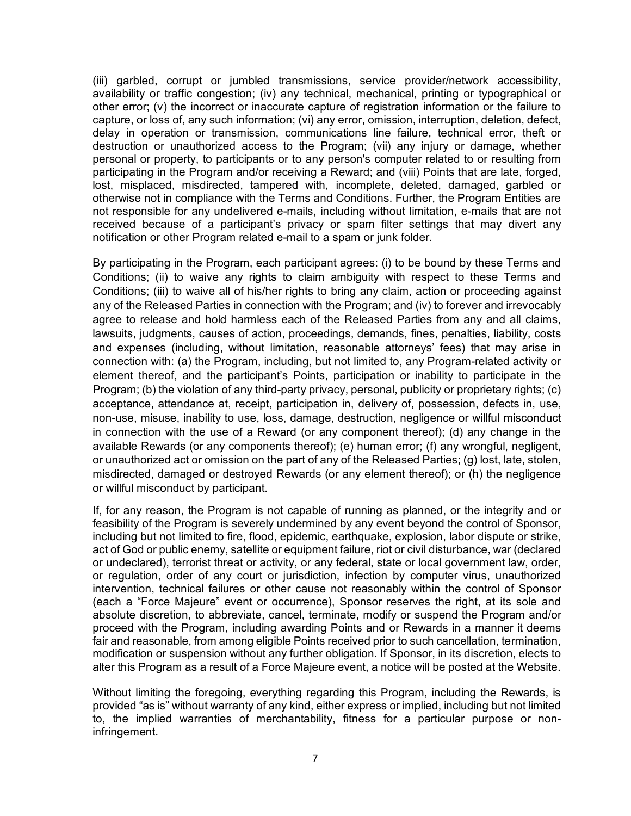(iii) garbled, corrupt or jumbled transmissions, service provider/network accessibility, availability or traffic congestion; (iv) any technical, mechanical, printing or typographical or other error; (v) the incorrect or inaccurate capture of registration information or the failure to capture, or loss of, any such information; (vi) any error, omission, interruption, deletion, defect, delay in operation or transmission, communications line failure, technical error, theft or destruction or unauthorized access to the Program; (vii) any injury or damage, whether personal or property, to participants or to any person's computer related to or resulting from participating in the Program and/or receiving a Reward; and (viii) Points that are late, forged, lost, misplaced, misdirected, tampered with, incomplete, deleted, damaged, garbled or otherwise not in compliance with the Terms and Conditions. Further, the Program Entities are not responsible for any undelivered e-mails, including without limitation, e-mails that are not received because of a participant's privacy or spam filter settings that may divert any notification or other Program related e-mail to a spam or junk folder.

By participating in the Program, each participant agrees: (i) to be bound by these Terms and Conditions; (ii) to waive any rights to claim ambiguity with respect to these Terms and Conditions; (iii) to waive all of his/her rights to bring any claim, action or proceeding against any of the Released Parties in connection with the Program; and (iv) to forever and irrevocably agree to release and hold harmless each of the Released Parties from any and all claims, lawsuits, judgments, causes of action, proceedings, demands, fines, penalties, liability, costs and expenses (including, without limitation, reasonable attorneys' fees) that may arise in connection with: (a) the Program, including, but not limited to, any Program-related activity or element thereof, and the participant's Points, participation or inability to participate in the Program; (b) the violation of any third-party privacy, personal, publicity or proprietary rights; (c) acceptance, attendance at, receipt, participation in, delivery of, possession, defects in, use, non-use, misuse, inability to use, loss, damage, destruction, negligence or willful misconduct in connection with the use of a Reward (or any component thereof); (d) any change in the available Rewards (or any components thereof); (e) human error; (f) any wrongful, negligent, or unauthorized act or omission on the part of any of the Released Parties; (g) lost, late, stolen, misdirected, damaged or destroyed Rewards (or any element thereof); or (h) the negligence or willful misconduct by participant.

If, for any reason, the Program is not capable of running as planned, or the integrity and or feasibility of the Program is severely undermined by any event beyond the control of Sponsor, including but not limited to fire, flood, epidemic, earthquake, explosion, labor dispute or strike, act of God or public enemy, satellite or equipment failure, riot or civil disturbance, war (declared or undeclared), terrorist threat or activity, or any federal, state or local government law, order, or regulation, order of any court or jurisdiction, infection by computer virus, unauthorized intervention, technical failures or other cause not reasonably within the control of Sponsor (each a "Force Majeure" event or occurrence), Sponsor reserves the right, at its sole and absolute discretion, to abbreviate, cancel, terminate, modify or suspend the Program and/or proceed with the Program, including awarding Points and or Rewards in a manner it deems fair and reasonable, from among eligible Points received prior to such cancellation, termination, modification or suspension without any further obligation. If Sponsor, in its discretion, elects to alter this Program as a result of a Force Majeure event, a notice will be posted at the Website.

Without limiting the foregoing, everything regarding this Program, including the Rewards, is provided "as is" without warranty of any kind, either express or implied, including but not limited to, the implied warranties of merchantability, fitness for a particular purpose or noninfringement.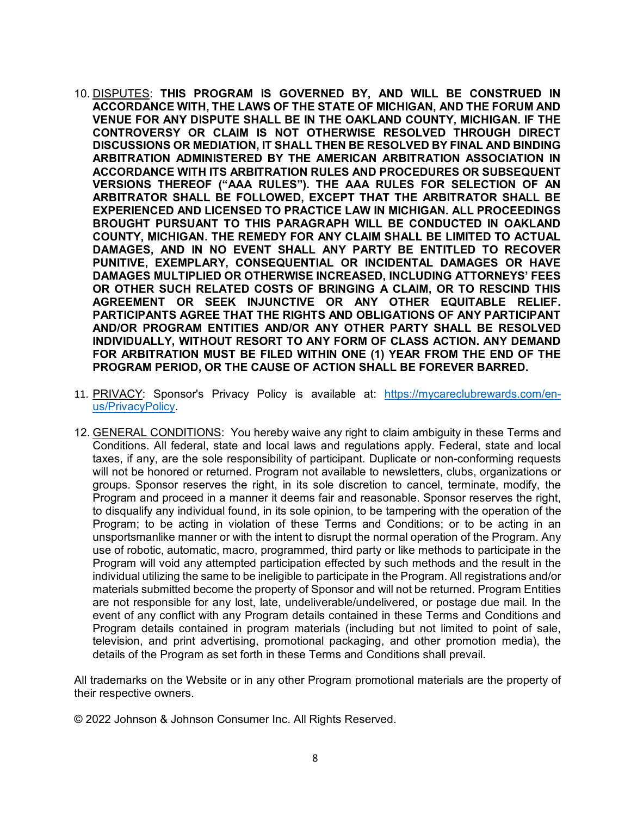- 10. DISPUTES: **THIS PROGRAM IS GOVERNED BY, AND WILL BE CONSTRUED IN ACCORDANCE WITH, THE LAWS OF THE STATE OF MICHIGAN, AND THE FORUM AND VENUE FOR ANY DISPUTE SHALL BE IN THE OAKLAND COUNTY, MICHIGAN. IF THE CONTROVERSY OR CLAIM IS NOT OTHERWISE RESOLVED THROUGH DIRECT DISCUSSIONS OR MEDIATION, IT SHALL THEN BE RESOLVED BY FINAL AND BINDING ARBITRATION ADMINISTERED BY THE AMERICAN ARBITRATION ASSOCIATION IN ACCORDANCE WITH ITS ARBITRATION RULES AND PROCEDURES OR SUBSEQUENT VERSIONS THEREOF ("AAA RULES"). THE AAA RULES FOR SELECTION OF AN ARBITRATOR SHALL BE FOLLOWED, EXCEPT THAT THE ARBITRATOR SHALL BE EXPERIENCED AND LICENSED TO PRACTICE LAW IN MICHIGAN. ALL PROCEEDINGS BROUGHT PURSUANT TO THIS PARAGRAPH WILL BE CONDUCTED IN OAKLAND COUNTY, MICHIGAN. THE REMEDY FOR ANY CLAIM SHALL BE LIMITED TO ACTUAL DAMAGES, AND IN NO EVENT SHALL ANY PARTY BE ENTITLED TO RECOVER PUNITIVE, EXEMPLARY, CONSEQUENTIAL OR INCIDENTAL DAMAGES OR HAVE DAMAGES MULTIPLIED OR OTHERWISE INCREASED, INCLUDING ATTORNEYS' FEES OR OTHER SUCH RELATED COSTS OF BRINGING A CLAIM, OR TO RESCIND THIS AGREEMENT OR SEEK INJUNCTIVE OR ANY OTHER EQUITABLE RELIEF. PARTICIPANTS AGREE THAT THE RIGHTS AND OBLIGATIONS OF ANY PARTICIPANT AND/OR PROGRAM ENTITIES AND/OR ANY OTHER PARTY SHALL BE RESOLVED INDIVIDUALLY, WITHOUT RESORT TO ANY FORM OF CLASS ACTION. ANY DEMAND FOR ARBITRATION MUST BE FILED WITHIN ONE (1) YEAR FROM THE END OF THE PROGRAM PERIOD, OR THE CAUSE OF ACTION SHALL BE FOREVER BARRED.**
- 11. PRIVACY: Sponsor's Privacy Policy is available at: [https://mycareclubrewards.com/en](https://mycareclubrewards.com/en-us/PrivacyPolicy)[us/PrivacyPolicy.](https://mycareclubrewards.com/en-us/PrivacyPolicy)
- 12. GENERAL CONDITIONS: You hereby waive any right to claim ambiguity in these Terms and Conditions. All federal, state and local laws and regulations apply. Federal, state and local taxes, if any, are the sole responsibility of participant. Duplicate or non-conforming requests will not be honored or returned. Program not available to newsletters, clubs, organizations or groups. Sponsor reserves the right, in its sole discretion to cancel, terminate, modify, the Program and proceed in a manner it deems fair and reasonable. Sponsor reserves the right, to disqualify any individual found, in its sole opinion, to be tampering with the operation of the Program; to be acting in violation of these Terms and Conditions; or to be acting in an unsportsmanlike manner or with the intent to disrupt the normal operation of the Program. Any use of robotic, automatic, macro, programmed, third party or like methods to participate in the Program will void any attempted participation effected by such methods and the result in the individual utilizing the same to be ineligible to participate in the Program. All registrations and/or materials submitted become the property of Sponsor and will not be returned. Program Entities are not responsible for any lost, late, undeliverable/undelivered, or postage due mail. In the event of any conflict with any Program details contained in these Terms and Conditions and Program details contained in program materials (including but not limited to point of sale, television, and print advertising, promotional packaging, and other promotion media), the details of the Program as set forth in these Terms and Conditions shall prevail.

All trademarks on the Website or in any other Program promotional materials are the property of their respective owners.

© 2022 Johnson & Johnson Consumer Inc. All Rights Reserved.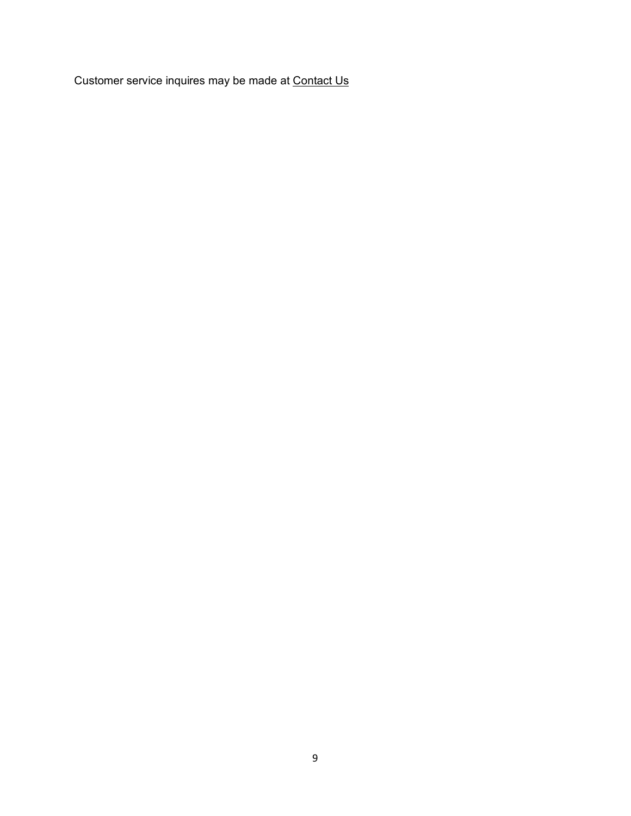Customer service inquires may be made at [Contact Us](https://prizelogic.zendesk.com/hc/en-us?id=013347)